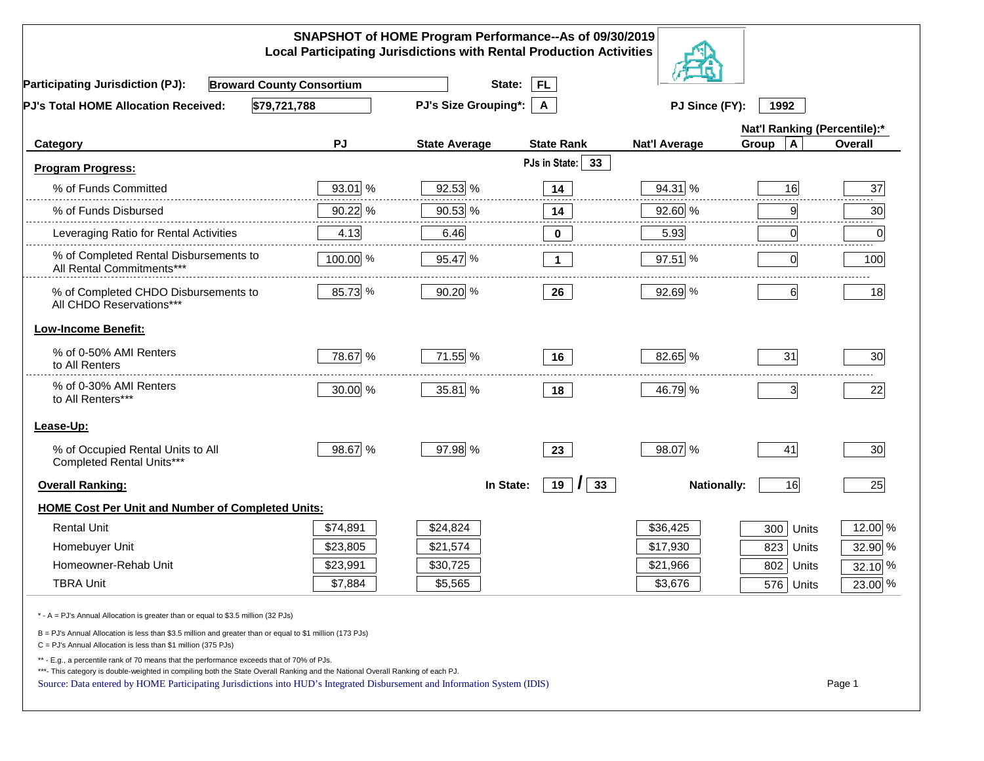|                                                                                                                                                                                                                                                                                                                                                          |          | SNAPSHOT of HOME Program Performance--As of 09/30/2019<br><b>Local Participating Jurisdictions with Rental Production Activities</b> |                     |                      |                              |         |
|----------------------------------------------------------------------------------------------------------------------------------------------------------------------------------------------------------------------------------------------------------------------------------------------------------------------------------------------------------|----------|--------------------------------------------------------------------------------------------------------------------------------------|---------------------|----------------------|------------------------------|---------|
| <b>Broward County Consortium</b><br><b>Participating Jurisdiction (PJ):</b>                                                                                                                                                                                                                                                                              |          | State:                                                                                                                               | <b>FL</b>           |                      |                              |         |
| \$79,721,788<br>PJ's Total HOME Allocation Received:                                                                                                                                                                                                                                                                                                     |          | <b>PJ's Size Grouping*:</b>                                                                                                          | A                   | PJ Since (FY):       | 1992                         |         |
|                                                                                                                                                                                                                                                                                                                                                          |          |                                                                                                                                      |                     |                      | Nat'l Ranking (Percentile):* |         |
| Category                                                                                                                                                                                                                                                                                                                                                 | PJ       | <b>State Average</b>                                                                                                                 | <b>State Rank</b>   | <b>Nat'l Average</b> | $\mathbf{A}$<br>Group        | Overall |
| <b>Program Progress:</b>                                                                                                                                                                                                                                                                                                                                 |          |                                                                                                                                      | PJs in State:<br>33 |                      |                              |         |
| % of Funds Committed                                                                                                                                                                                                                                                                                                                                     | 93.01 %  | 92.53 %                                                                                                                              | 14                  | 94.31 %              | 16                           | 37      |
| % of Funds Disbursed                                                                                                                                                                                                                                                                                                                                     | 90.22 %  | 90.53 %                                                                                                                              | 14                  | 92.60 %              | 9                            | 30      |
| Leveraging Ratio for Rental Activities                                                                                                                                                                                                                                                                                                                   | 4.13     | 6.46                                                                                                                                 | $\bf{0}$            | 5.93                 | $\overline{0}$               | .<br>0  |
| % of Completed Rental Disbursements to<br>All Rental Commitments***                                                                                                                                                                                                                                                                                      | 100.00 % | 95.47 %                                                                                                                              | $\mathbf{1}$        | 97.51 %              | $\Omega$                     | 100     |
| % of Completed CHDO Disbursements to<br>All CHDO Reservations***                                                                                                                                                                                                                                                                                         | 85.73 %  | 90.20 %                                                                                                                              | 26                  | 92.69 %              | 6                            | 18      |
| <b>Low-Income Benefit:</b>                                                                                                                                                                                                                                                                                                                               |          |                                                                                                                                      |                     |                      |                              |         |
| % of 0-50% AMI Renters<br>to All Renters                                                                                                                                                                                                                                                                                                                 | 78.67 %  | 71.55 %                                                                                                                              | 16                  | 82.65 %              | 31                           | 30      |
| % of 0-30% AMI Renters<br>to All Renters***                                                                                                                                                                                                                                                                                                              | 30.00 %  | 35.81 %                                                                                                                              | 18                  | 46.79 %              | 3                            | 22      |
| Lease-Up:                                                                                                                                                                                                                                                                                                                                                |          |                                                                                                                                      |                     |                      |                              |         |
| % of Occupied Rental Units to All<br>Completed Rental Units***                                                                                                                                                                                                                                                                                           | 98.67 %  | 97.98 %                                                                                                                              | 23                  | 98.07 %              | 41                           | 30      |
| <b>Overall Ranking:</b>                                                                                                                                                                                                                                                                                                                                  |          | In State:                                                                                                                            | $19$ $\vert$<br>33  | <b>Nationally:</b>   | 16                           | 25      |
| <b>HOME Cost Per Unit and Number of Completed Units:</b>                                                                                                                                                                                                                                                                                                 |          |                                                                                                                                      |                     |                      |                              |         |
| <b>Rental Unit</b>                                                                                                                                                                                                                                                                                                                                       | \$74,891 | \$24,824                                                                                                                             |                     | \$36,425             | 300<br>Units                 | 12.00 % |
| Homebuyer Unit                                                                                                                                                                                                                                                                                                                                           | \$23,805 | \$21,574                                                                                                                             |                     | \$17,930             | 823 Units                    | 32.90 % |
| Homeowner-Rehab Unit                                                                                                                                                                                                                                                                                                                                     | \$23,991 | \$30,725                                                                                                                             |                     | \$21,966             | 802 Units                    | 32.10 % |
| <b>TBRA Unit</b>                                                                                                                                                                                                                                                                                                                                         | \$7,884  | \$5,565                                                                                                                              |                     | \$3,676              | 576 Units                    | 23.00 % |
| * - A = PJ's Annual Allocation is greater than or equal to \$3.5 million (32 PJs)                                                                                                                                                                                                                                                                        |          |                                                                                                                                      |                     |                      |                              |         |
| B = PJ's Annual Allocation is less than \$3.5 million and greater than or equal to \$1 million (173 PJs)<br>C = PJ's Annual Allocation is less than \$1 million (375 PJs)                                                                                                                                                                                |          |                                                                                                                                      |                     |                      |                              |         |
| ** - E.g., a percentile rank of 70 means that the performance exceeds that of 70% of PJs.<br>***- This category is double-weighted in compiling both the State Overall Ranking and the National Overall Ranking of each PJ.<br>Source: Data entered by HOME Participating Jurisdictions into HUD's Integrated Disbursement and Information System (IDIS) |          |                                                                                                                                      |                     |                      |                              | Page 1  |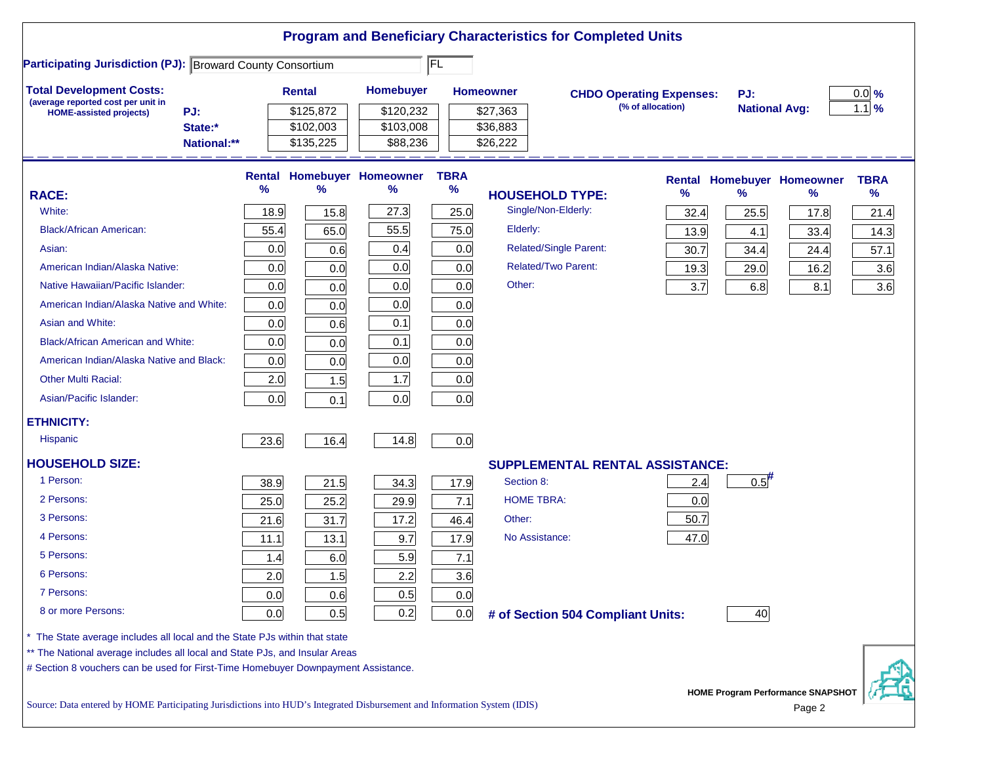| <b>Participating Jurisdiction (PJ): Broward County Consortium</b>           |             |      |               |                                   | FL          |                                        |                                 |                      |                            |             |
|-----------------------------------------------------------------------------|-------------|------|---------------|-----------------------------------|-------------|----------------------------------------|---------------------------------|----------------------|----------------------------|-------------|
| <b>Total Development Costs:</b>                                             |             |      | <b>Rental</b> | Homebuyer                         |             | <b>Homeowner</b>                       | <b>CHDO Operating Expenses:</b> | PJ:                  |                            | $0.0\%$     |
| (average reported cost per unit in<br>PJ:<br><b>HOME-assisted projects)</b> |             |      | \$125,872     | \$120,232                         |             | \$27,363                               | (% of allocation)               | <b>National Avg:</b> |                            | $1.1$ %     |
| State:*                                                                     |             |      | \$102,003     | \$103,008                         |             | \$36,883                               |                                 |                      |                            |             |
|                                                                             | National:** |      | \$135,225     | \$88,236                          |             | \$26,222                               |                                 |                      |                            |             |
|                                                                             |             |      |               | <b>Rental Homebuyer Homeowner</b> | <b>TBRA</b> |                                        |                                 |                      | Rental Homebuyer Homeowner | <b>TBRA</b> |
| <b>RACE:</b>                                                                |             | %    | %             | %                                 | %           | <b>HOUSEHOLD TYPE:</b>                 | %                               | %                    | ℅                          | %           |
| White:                                                                      |             | 18.9 | 15.8          | 27.3                              | 25.0        | Single/Non-Elderly:                    | 32.4                            | 25.5                 | 17.8                       | 21.4        |
| <b>Black/African American:</b>                                              |             | 55.4 | 65.0          | 55.5                              | 75.0        | Elderly:                               | 13.9                            | 4.1                  | 33.4                       | 14.3        |
| Asian:                                                                      |             | 0.0  | 0.6           | 0.4                               | 0.0         | Related/Single Parent:                 | 30.7                            | 34.4                 | 24.4                       | 57.1        |
| American Indian/Alaska Native:                                              |             | 0.0  | 0.0           | 0.0                               | 0.0         | <b>Related/Two Parent:</b>             | 19.3                            | 29.0                 | 16.2                       | 3.6         |
| Native Hawaiian/Pacific Islander:                                           |             | 0.0  | 0.0           | 0.0                               | 0.0         | Other:                                 | 3.7                             | 6.8                  | 8.1                        | 3.6         |
| American Indian/Alaska Native and White:                                    |             | 0.0  | 0.0           | 0.0                               | 0.0         |                                        |                                 |                      |                            |             |
| Asian and White:                                                            |             | 0.0  | 0.6           | 0.1                               | 0.0         |                                        |                                 |                      |                            |             |
| <b>Black/African American and White:</b>                                    |             | 0.0  | 0.0           | 0.1                               | 0.0         |                                        |                                 |                      |                            |             |
| American Indian/Alaska Native and Black:                                    |             | 0.0  | 0.0           | 0.0                               | 0.0         |                                        |                                 |                      |                            |             |
| <b>Other Multi Racial:</b>                                                  |             | 2.0  | 1.5           | 1.7                               | 0.0         |                                        |                                 |                      |                            |             |
| Asian/Pacific Islander:                                                     |             | 0.0  | 0.1           | 0.0                               | 0.0         |                                        |                                 |                      |                            |             |
| <b>ETHNICITY:</b>                                                           |             |      |               |                                   |             |                                        |                                 |                      |                            |             |
| <b>Hispanic</b>                                                             |             | 23.6 | 16.4          | 14.8                              | 0.0         |                                        |                                 |                      |                            |             |
| <b>HOUSEHOLD SIZE:</b>                                                      |             |      |               |                                   |             | <b>SUPPLEMENTAL RENTAL ASSISTANCE:</b> |                                 |                      |                            |             |
| 1 Person:                                                                   |             | 38.9 | 21.5          | 34.3                              | 17.9        | Section 8:                             | 2.4                             | $0.5$ <sup>#</sup>   |                            |             |
| 2 Persons:                                                                  |             | 25.0 | 25.2          | 29.9                              | 7.1         | <b>HOME TBRA:</b>                      | 0.0                             |                      |                            |             |
| 3 Persons:                                                                  |             | 21.6 | 31.7          | 17.2                              | 46.4        | Other:                                 | 50.7                            |                      |                            |             |
| 4 Persons:                                                                  |             | 11.1 | 13.1          | 9.7                               | 17.9        | No Assistance:                         | 47.0                            |                      |                            |             |
| 5 Persons:                                                                  |             | 1.4  | 6.0           | 5.9                               | 7.1         |                                        |                                 |                      |                            |             |
| 6 Persons:                                                                  |             | 2.0  | 1.5           | 2.2                               | 3.6         |                                        |                                 |                      |                            |             |
| 7 Persons:                                                                  |             | 0.0  | 0.6           | 0.5                               | 0.0         |                                        |                                 |                      |                            |             |
| 8 or more Persons:                                                          |             | 0.0  | 0.5           | 0.2                               | 0.0         | # of Section 504 Compliant Units:      |                                 | 40                   |                            |             |
| The State average includes all local and the State PJs within that state    |             |      |               |                                   |             |                                        |                                 |                      |                            |             |
| ** The National average includes all local and State PJs, and Insular Areas |             |      |               |                                   |             |                                        |                                 |                      |                            |             |

Source: Data entered by HOME Participating Jurisdictions into HUD's Integrated Disbursement and Information System (IDIS) Page 2